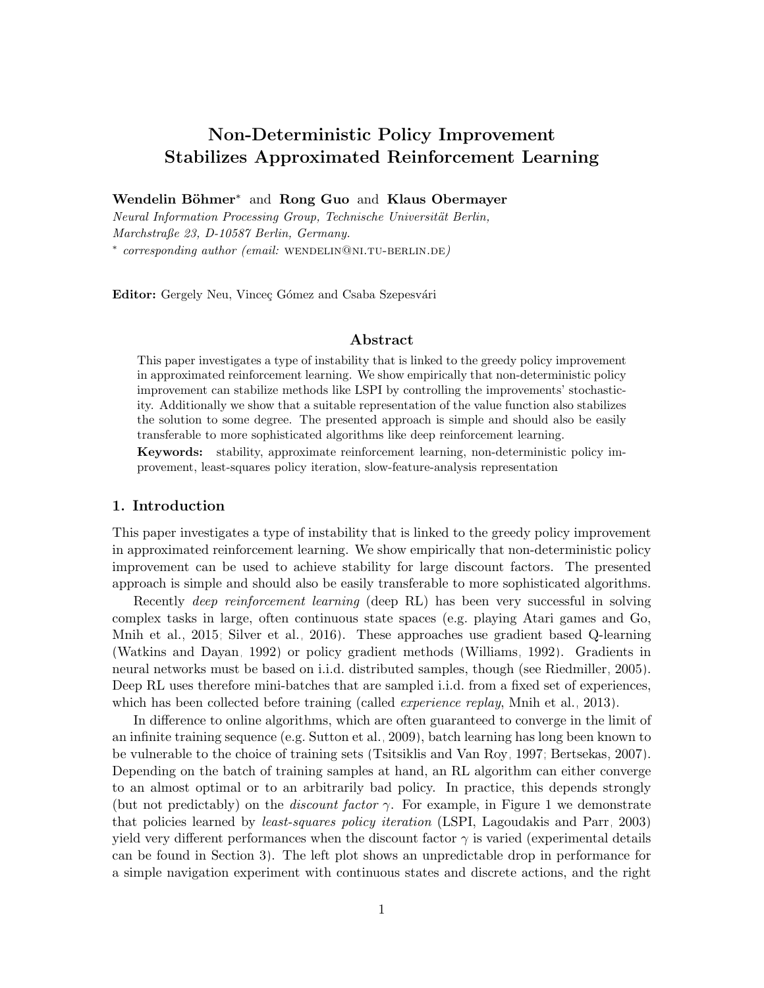# Non-Deterministic Policy Improvement Stabilizes Approximated Reinforcement Learning

Wendelin Böhmer<sup>∗</sup> and Rong Guo and Klaus Obermayer

Neural Information Processing Group, Technische Universität Berlin, Marchstraße 23, D-10587 Berlin, Germany. \* corresponding author (email: WENDELIN@NI.TU-BERLIN.DE)

Editor: Gergely Neu, Vinceç Gómez and Csaba Szepesvári

#### Abstract

This paper investigates a type of instability that is linked to the greedy policy improvement in approximated reinforcement learning. We show empirically that non-deterministic policy improvement can stabilize methods like LSPI by controlling the improvements' stochasticity. Additionally we show that a suitable representation of the value function also stabilizes the solution to some degree. The presented approach is simple and should also be easily transferable to more sophisticated algorithms like deep reinforcement learning.

Keywords: stability, approximate reinforcement learning, non-deterministic policy improvement, least-squares policy iteration, slow-feature-analysis representation

#### 1. Introduction

This paper investigates a type of instability that is linked to the greedy policy improvement in approximated reinforcement learning. We show empirically that non-deterministic policy improvement can be used to achieve stability for large discount factors. The presented approach is simple and should also be easily transferable to more sophisticated algorithms.

Recently deep reinforcement learning (deep RL) has been very successful in solving complex tasks in large, often continuous state spaces (e.g. playing Atari games and Go, [Mnih et al., 2015;](#page-6-0) [Silver et al., 2016\)](#page-7-0). These approaches use gradient based Q-learning [\(Watkins and Dayan, 1992\)](#page-7-1) or policy gradient methods [\(Williams, 1992\)](#page-7-2). Gradients in neural networks must be based on i.i.d. distributed samples, though (see [Riedmiller, 2005\)](#page-7-3). Deep RL uses therefore mini-batches that are sampled i.i.d. from a fixed set of experiences, which has been collected before training (called *experience replay*, [Mnih et al., 2013\)](#page-6-1).

In difference to online algorithms, which are often guaranteed to converge in the limit of an infinite training sequence (e.g. [Sutton et al., 2009\)](#page-7-4), batch learning has long been known to be vulnerable to the choice of training sets [\(Tsitsiklis and Van Roy, 1997;](#page-7-5) [Bertsekas, 2007\)](#page-6-2). Depending on the batch of training samples at hand, an RL algorithm can either converge to an almost optimal or to an arbitrarily bad policy. In practice, this depends strongly (but not predictably) on the *discount factor*  $\gamma$ . For example, in Figure [1](#page-1-0) we demonstrate that policies learned by least-squares policy iteration (LSPI, [Lagoudakis and Parr, 2003\)](#page-6-3) yield very different performances when the discount factor  $\gamma$  is varied (experimental details can be found in Section [3\)](#page-3-0). The left plot shows an unpredictable drop in performance for a simple navigation experiment with continuous states and discrete actions, and the right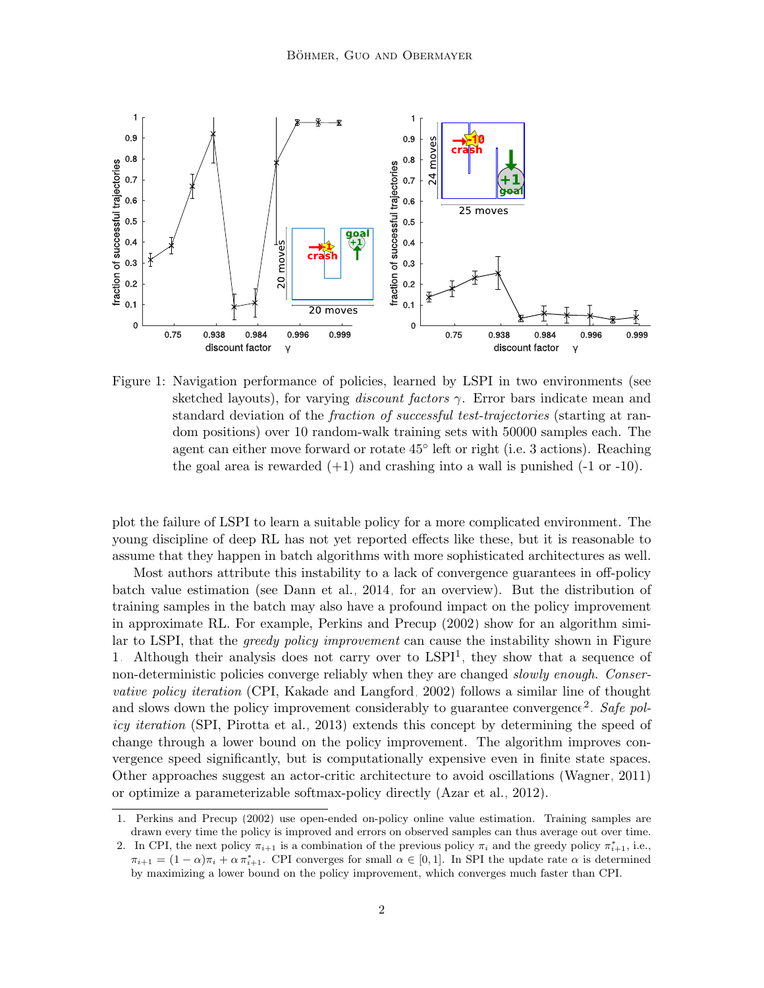

<span id="page-1-0"></span>Figure 1: Navigation performance of policies, learned by LSPI in two environments (see sketched layouts), for varying *discount factors*  $\gamma$ . Error bars indicate mean and standard deviation of the fraction of successful test-trajectories (starting at random positions) over 10 random-walk training sets with 50000 samples each. The agent can either move forward or rotate  $45^{\circ}$  left or right (i.e. 3 actions). Reaching the goal area is rewarded  $(+1)$  and crashing into a wall is punished  $(-1 \text{ or } -10)$ .

plot the failure of LSPI to learn a suitable policy for a more complicated environment. The young discipline of deep RL has not yet reported effects like these, but it is reasonable to assume that they happen in batch algorithms with more sophisticated architectures as well.

Most authors attribute this instability to a lack of convergence guarantees in off-policy batch value estimation (see [Dann et al., 2014,](#page-6-4) for an overview). But the distribution of training samples in the batch may also have a profound impact on the policy improvement in approximate RL. For example, [Perkins and Precup \(2002\)](#page-6-5) show for an algorithm similar to LSPI, that the greedy policy improvement can cause the instability shown in Figure [1.](#page-1-0) Although their analysis does not carry over to  $LSPI<sup>1</sup>$  $LSPI<sup>1</sup>$  $LSPI<sup>1</sup>$ , they show that a sequence of non-deterministic policies converge reliably when they are changed *slowly enough. Conser*vative policy iteration (CPI, [Kakade and Langford, 2002\)](#page-6-6) follows a similar line of thought and slows down the policy improvement considerably to guarantee convergence<sup>[2](#page-1-2)</sup>. Safe policy iteration (SPI, [Pirotta et al., 2013\)](#page-7-6) extends this concept by determining the speed of change through a lower bound on the policy improvement. The algorithm improves convergence speed significantly, but is computationally expensive even in finite state spaces. Other approaches suggest an actor-critic architecture to avoid oscillations [\(Wagner, 2011\)](#page-7-7) or optimize a parameterizable softmax-policy directly [\(Azar et al., 2012\)](#page-6-7).

<span id="page-1-1"></span><sup>1.</sup> [Perkins and Precup \(2002\)](#page-6-5) use open-ended on-policy online value estimation. Training samples are drawn every time the policy is improved and errors on observed samples can thus average out over time.

<span id="page-1-2"></span><sup>2.</sup> In CPI, the next policy  $\pi_{i+1}$  is a combination of the previous policy  $\pi_i$  and the greedy policy  $\pi_{i+1}^*$ , i.e.,  $\pi_{i+1} = (1 - \alpha)\pi_i + \alpha \pi_{i+1}^*$ . CPI converges for small  $\alpha \in [0, 1]$ . In SPI the update rate  $\alpha$  is determined by maximizing a lower bound on the policy improvement, which converges much faster than CPI.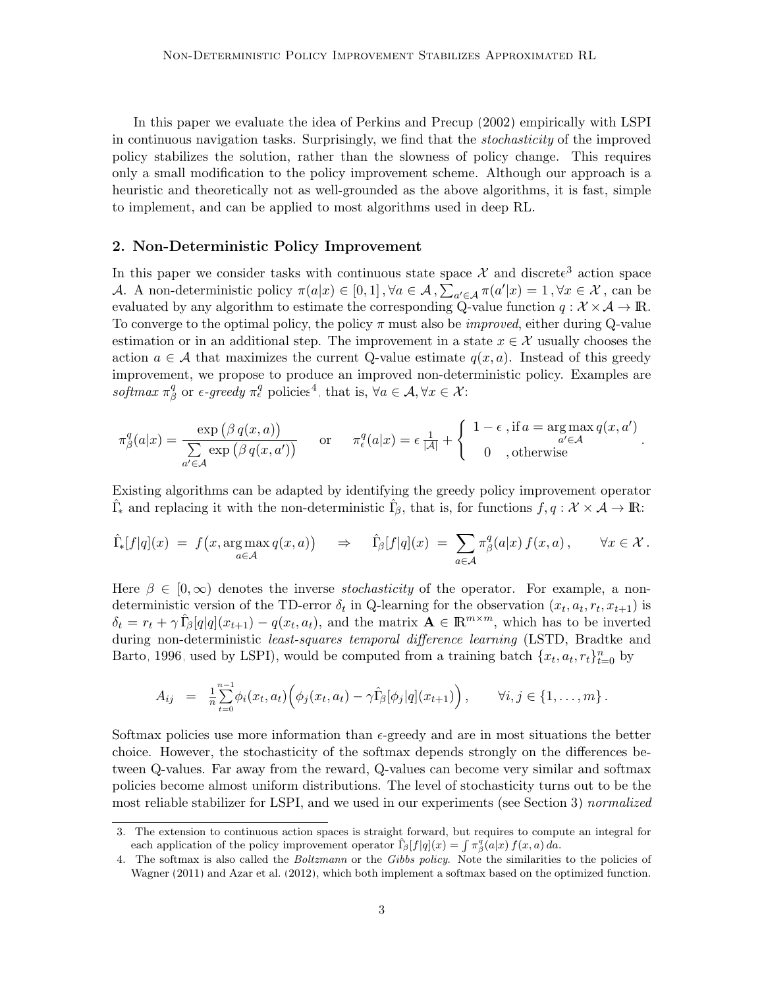In this paper we evaluate the idea of [Perkins and Precup \(2002\)](#page-6-5) empirically with LSPI in continuous navigation tasks. Surprisingly, we find that the stochasticity of the improved policy stabilizes the solution, rather than the slowness of policy change. This requires only a small modification to the policy improvement scheme. Although our approach is a heuristic and theoretically not as well-grounded as the above algorithms, it is fast, simple to implement, and can be applied to most algorithms used in deep RL.

#### 2. Non-Deterministic Policy Improvement

In this paper we consider tasks with continuous state space  $\mathcal X$  and discrete<sup>[3](#page-2-0)</sup> action space A. A non-deterministic policy  $\pi(a|x) \in [0,1]$ ,  $\forall a \in \mathcal{A}$ ,  $\sum_{a' \in \mathcal{A}} \pi(a'|x) = 1$ ,  $\forall x \in \mathcal{X}$ , can be evaluated by any algorithm to estimate the corresponding Q-value function  $q : \mathcal{X} \times \mathcal{A} \to \mathbb{R}$ . To converge to the optimal policy, the policy  $\pi$  must also be *improved*, either during Q-value estimation or in an additional step. The improvement in a state  $x \in \mathcal{X}$  usually chooses the action  $a \in \mathcal{A}$  that maximizes the current Q-value estimate  $q(x, a)$ . Instead of this greedy improvement, we propose to produce an improved non-deterministic policy. Examples are  $softmax \pi^q$  $\beta$  or  $\epsilon$ -greedy  $\pi_{\epsilon}^q$  policies<sup>[4](#page-2-1)</sup>, that is,  $\forall a \in \mathcal{A}, \forall x \in \mathcal{X}$ :

$$
\pi_{\beta}^{q}(a|x) = \frac{\exp\left(\beta q(x,a)\right)}{\sum\limits_{a' \in \mathcal{A}} \exp\left(\beta q(x,a')\right)} \quad \text{or} \quad \pi_{\epsilon}^{q}(a|x) = \epsilon \frac{1}{|\mathcal{A}|} + \begin{cases} 1 - \epsilon \text{, if } a = \arg \max_{a' \in \mathcal{A}} q(x,a')\\ 0 \quad \text{, otherwise} \end{cases}.
$$

Existing algorithms can be adapted by identifying the greedy policy improvement operator  $\hat{\Gamma}_{*}$  and replacing it with the non-deterministic  $\hat{\Gamma}_{\beta}$ , that is, for functions  $f, q: \mathcal{X} \times \mathcal{A} \to \mathbb{R}$ :

$$
\hat{\Gamma}_{*}[f|q](x) = f(x, \arg \max_{a \in \mathcal{A}} q(x, a)) \Rightarrow \hat{\Gamma}_{\beta}[f|q](x) = \sum_{a \in \mathcal{A}} \pi_{\beta}^{q}(a|x) f(x, a), \quad \forall x \in \mathcal{X}.
$$

Here  $\beta \in [0,\infty)$  denotes the inverse *stochasticity* of the operator. For example, a nondeterministic version of the TD-error  $\delta_t$  in Q-learning for the observation  $(x_t, a_t, r_t, x_{t+1})$  is  $\delta_t = r_t + \gamma \hat{L}_{\beta}[q]q](x_{t+1}) - q(x_t, a_t)$ , and the matrix  $\mathbf{A} \in \mathbb{R}^{m \times m}$ , which has to be inverted during non-deterministic *least-squares temporal difference learning* (LSTD, [Bradtke and](#page-6-8) [Barto, 1996,](#page-6-8) used by LSPI), would be computed from a training batch  $\{x_t, a_t, r_t\}_{t=0}^n$  by

$$
A_{ij} = \frac{1}{n} \sum_{t=0}^{n-1} \phi_i(x_t, a_t) \Big( \phi_j(x_t, a_t) - \gamma \hat{\Gamma}_{\beta}[\phi_j|q](x_{t+1}) \Big), \qquad \forall i, j \in \{1, ..., m\}.
$$

Softmax policies use more information than  $\epsilon$ -greedy and are in most situations the better choice. However, the stochasticity of the softmax depends strongly on the differences between Q-values. Far away from the reward, Q-values can become very similar and softmax policies become almost uniform distributions. The level of stochasticity turns out to be the most reliable stabilizer for LSPI, and we used in our experiments (see Section [3\)](#page-3-0) normalized

<span id="page-2-0"></span><sup>3.</sup> The extension to continuous action spaces is straight forward, but requires to compute an integral for each application of the policy improvement operator  $\hat{\Gamma}_{\beta}[f|q](x) = \int \pi_{\beta}^{q}(a|x) f(x, a) da$ .

<span id="page-2-1"></span><sup>4.</sup> The softmax is also called the Boltzmann or the Gibbs policy. Note the similarities to the policies of [Wagner \(2011\)](#page-7-7) and [Azar et al. \(2012\)](#page-6-7), which both implement a softmax based on the optimized function.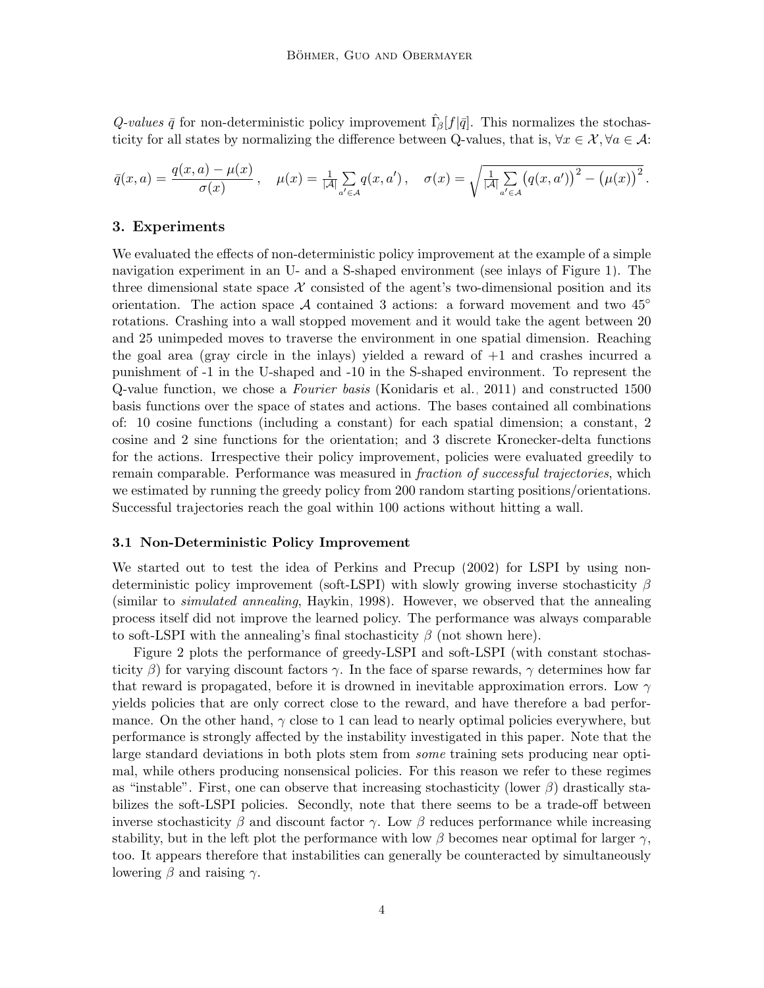Q-values  $\bar{q}$  for non-deterministic policy improvement  $\hat{\Gamma}_{\beta}[f|\bar{q}]$ . This normalizes the stochasticity for all states by normalizing the difference between Q-values, that is,  $\forall x \in \mathcal{X}, \forall a \in \mathcal{A}$ :

$$
\bar{q}(x, a) = \frac{q(x, a) - \mu(x)}{\sigma(x)}, \quad \mu(x) = \frac{1}{|\mathcal{A}|} \sum_{a' \in \mathcal{A}} q(x, a'), \quad \sigma(x) = \sqrt{\frac{1}{|\mathcal{A}|} \sum_{a' \in \mathcal{A}} (q(x, a'))^2 - (\mu(x))^2}.
$$

# <span id="page-3-0"></span>3. Experiments

We evaluated the effects of non-deterministic policy improvement at the example of a simple navigation experiment in an U- and a S-shaped environment (see inlays of Figure [1\)](#page-1-0). The three dimensional state space  $X$  consisted of the agent's two-dimensional position and its orientation. The action space A contained 3 actions: a forward movement and two  $45^{\circ}$ rotations. Crashing into a wall stopped movement and it would take the agent between 20 and 25 unimpeded moves to traverse the environment in one spatial dimension. Reaching the goal area (gray circle in the inlays) yielded a reward of +1 and crashes incurred a punishment of -1 in the U-shaped and -10 in the S-shaped environment. To represent the Q-value function, we chose a Fourier basis [\(Konidaris et al., 2011\)](#page-6-9) and constructed 1500 basis functions over the space of states and actions. The bases contained all combinations of: 10 cosine functions (including a constant) for each spatial dimension; a constant, 2 cosine and 2 sine functions for the orientation; and 3 discrete Kronecker-delta functions for the actions. Irrespective their policy improvement, policies were evaluated greedily to remain comparable. Performance was measured in fraction of successful trajectories, which we estimated by running the greedy policy from 200 random starting positions/orientations. Successful trajectories reach the goal within 100 actions without hitting a wall.

#### 3.1 Non-Deterministic Policy Improvement

We started out to test the idea of [Perkins and Precup \(2002\)](#page-6-5) for LSPI by using nondeterministic policy improvement (soft-LSPI) with slowly growing inverse stochasticity  $\beta$ (similar to simulated annealing, [Haykin, 1998\)](#page-6-10). However, we observed that the annealing process itself did not improve the learned policy. The performance was always comparable to soft-LSPI with the annealing's final stochasticity  $\beta$  (not shown here).

Figure [2](#page-4-0) plots the performance of greedy-LSPI and soft-LSPI (with constant stochasticity  $\beta$ ) for varying discount factors  $\gamma$ . In the face of sparse rewards,  $\gamma$  determines how far that reward is propagated, before it is drowned in inevitable approximation errors. Low  $\gamma$ yields policies that are only correct close to the reward, and have therefore a bad performance. On the other hand,  $\gamma$  close to 1 can lead to nearly optimal policies everywhere, but performance is strongly affected by the instability investigated in this paper. Note that the large standard deviations in both plots stem from *some* training sets producing near optimal, while others producing nonsensical policies. For this reason we refer to these regimes as "instable". First, one can observe that increasing stochasticity (lower  $\beta$ ) drastically stabilizes the soft-LSPI policies. Secondly, note that there seems to be a trade-off between inverse stochasticity  $\beta$  and discount factor  $\gamma$ . Low  $\beta$  reduces performance while increasing stability, but in the left plot the performance with low  $\beta$  becomes near optimal for larger  $\gamma$ , too. It appears therefore that instabilities can generally be counteracted by simultaneously lowering  $\beta$  and raising  $\gamma$ .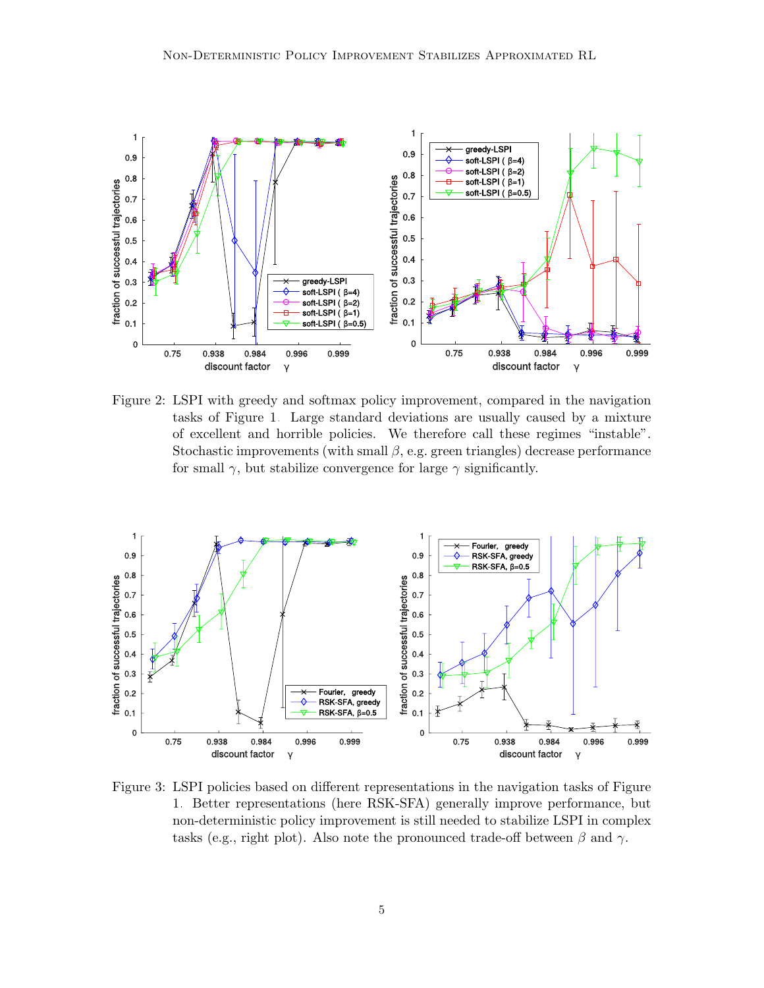

<span id="page-4-0"></span>Figure 2: LSPI with greedy and softmax policy improvement, compared in the navigation tasks of Figure [1.](#page-1-0) Large standard deviations are usually caused by a mixture of excellent and horrible policies. We therefore call these regimes "instable". Stochastic improvements (with small  $\beta$ , e.g. green triangles) decrease performance for small  $\gamma$ , but stabilize convergence for large  $\gamma$  significantly.



<span id="page-4-1"></span>Figure 3: LSPI policies based on different representations in the navigation tasks of Figure [1.](#page-1-0) Better representations (here RSK-SFA) generally improve performance, but non-deterministic policy improvement is still needed to stabilize LSPI in complex tasks (e.g., right plot). Also note the pronounced trade-off between  $\beta$  and  $\gamma$ .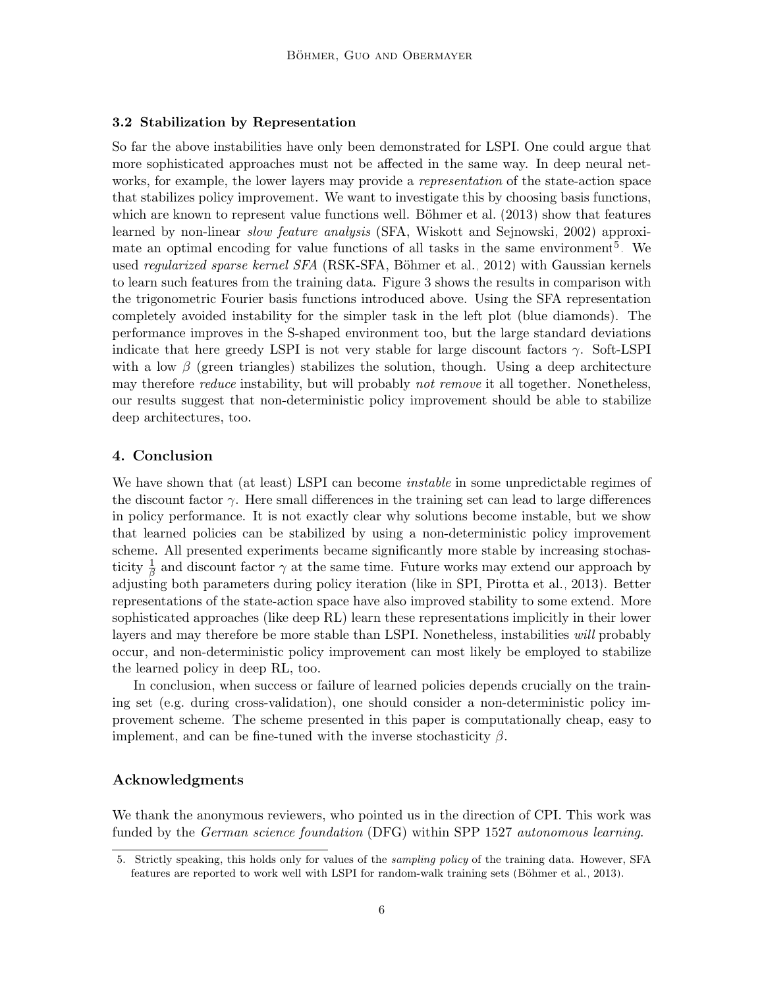## 3.2 Stabilization by Representation

So far the above instabilities have only been demonstrated for LSPI. One could argue that more sophisticated approaches must not be affected in the same way. In deep neural networks, for example, the lower layers may provide a *representation* of the state-action space that stabilizes policy improvement. We want to investigate this by choosing basis functions, which are known to represent value functions well. Böhmer et al.  $(2013)$  show that features learned by non-linear *slow feature analysis* (SFA, [Wiskott and Sejnowski, 2002\)](#page-7-8) approxi-mate an optimal encoding for value functions of all tasks in the same environment<sup>[5](#page-5-0)</sup>. We used *regularized sparse kernel SFA* (RSK-SFA, Böhmer et al., 2012) with Gaussian kernels to learn such features from the training data. Figure [3](#page-4-1) shows the results in comparison with the trigonometric Fourier basis functions introduced above. Using the SFA representation completely avoided instability for the simpler task in the left plot (blue diamonds). The performance improves in the S-shaped environment too, but the large standard deviations indicate that here greedy LSPI is not very stable for large discount factors  $\gamma$ . Soft-LSPI with a low  $\beta$  (green triangles) stabilizes the solution, though. Using a deep architecture may therefore *reduce* instability, but will probably *not remove* it all together. Nonetheless, our results suggest that non-deterministic policy improvement should be able to stabilize deep architectures, too.

# 4. Conclusion

We have shown that (at least) LSPI can become *instable* in some unpredictable regimes of the discount factor  $\gamma$ . Here small differences in the training set can lead to large differences in policy performance. It is not exactly clear why solutions become instable, but we show that learned policies can be stabilized by using a non-deterministic policy improvement scheme. All presented experiments became significantly more stable by increasing stochasticity  $\frac{1}{\beta}$  and discount factor  $\gamma$  at the same time. Future works may extend our approach by adjusting both parameters during policy iteration (like in SPI, [Pirotta et al., 2013\)](#page-7-6). Better representations of the state-action space have also improved stability to some extend. More sophisticated approaches (like deep RL) learn these representations implicitly in their lower layers and may therefore be more stable than LSPI. Nonetheless, instabilities will probably occur, and non-deterministic policy improvement can most likely be employed to stabilize the learned policy in deep RL, too.

In conclusion, when success or failure of learned policies depends crucially on the training set (e.g. during cross-validation), one should consider a non-deterministic policy improvement scheme. The scheme presented in this paper is computationally cheap, easy to implement, and can be fine-tuned with the inverse stochasticity  $\beta$ .

## Acknowledgments

We thank the anonymous reviewers, who pointed us in the direction of CPI. This work was funded by the *German science foundation* (DFG) within SPP 1527 *autonomous learning*.

<span id="page-5-0"></span><sup>5.</sup> Strictly speaking, this holds only for values of the sampling policy of the training data. However, SFA features are reported to work well with LSPI for random-walk training sets (Böhmer et al., 2013).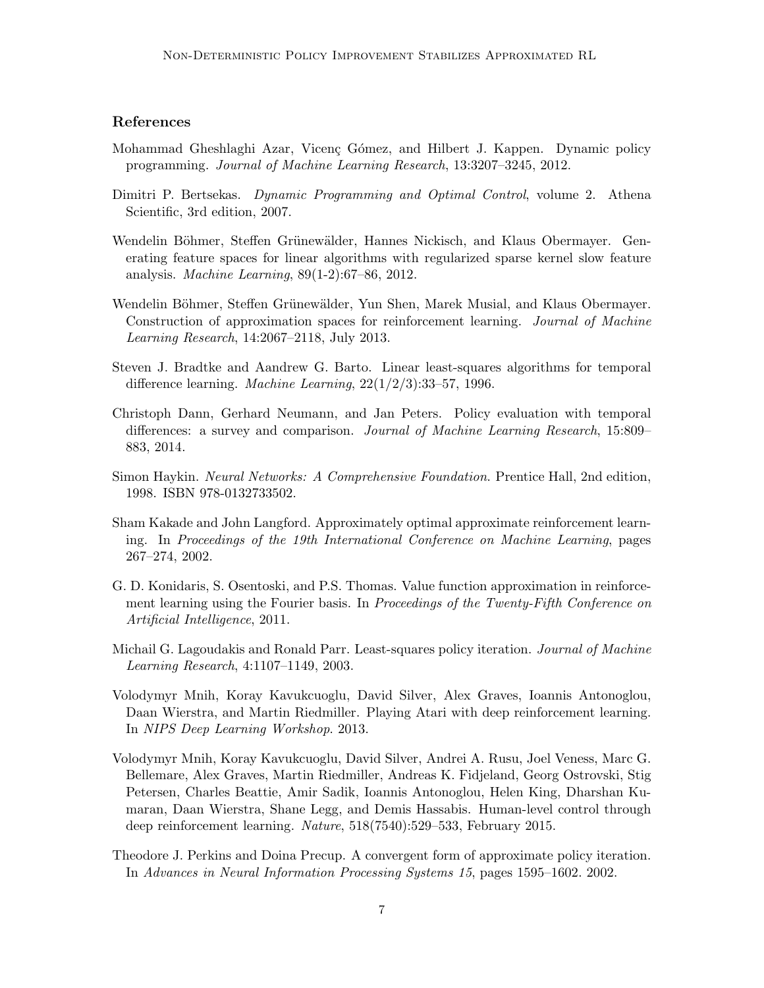# References

- <span id="page-6-7"></span>Mohammad Gheshlaghi Azar, Vicenç Gómez, and Hilbert J. Kappen. Dynamic policy programming. Journal of Machine Learning Research, 13:3207–3245, 2012.
- <span id="page-6-2"></span>Dimitri P. Bertsekas. Dynamic Programming and Optimal Control, volume 2. Athena Scientific, 3rd edition, 2007.
- <span id="page-6-12"></span>Wendelin Böhmer, Steffen Grünewälder, Hannes Nickisch, and Klaus Obermayer. Generating feature spaces for linear algorithms with regularized sparse kernel slow feature analysis. Machine Learning, 89(1-2):67–86, 2012.
- <span id="page-6-11"></span>Wendelin Böhmer, Steffen Grünewälder, Yun Shen, Marek Musial, and Klaus Obermayer. Construction of approximation spaces for reinforcement learning. Journal of Machine Learning Research, 14:2067–2118, July 2013.
- <span id="page-6-8"></span>Steven J. Bradtke and Aandrew G. Barto. Linear least-squares algorithms for temporal difference learning. Machine Learning, 22(1/2/3):33–57, 1996.
- <span id="page-6-4"></span>Christoph Dann, Gerhard Neumann, and Jan Peters. Policy evaluation with temporal differences: a survey and comparison. Journal of Machine Learning Research, 15:809– 883, 2014.
- <span id="page-6-10"></span>Simon Haykin. Neural Networks: A Comprehensive Foundation. Prentice Hall, 2nd edition, 1998. ISBN 978-0132733502.
- <span id="page-6-6"></span>Sham Kakade and John Langford. Approximately optimal approximate reinforcement learning. In Proceedings of the 19th International Conference on Machine Learning, pages 267–274, 2002.
- <span id="page-6-9"></span>G. D. Konidaris, S. Osentoski, and P.S. Thomas. Value function approximation in reinforcement learning using the Fourier basis. In Proceedings of the Twenty-Fifth Conference on Artificial Intelligence, 2011.
- <span id="page-6-3"></span>Michail G. Lagoudakis and Ronald Parr. Least-squares policy iteration. *Journal of Machine* Learning Research, 4:1107–1149, 2003.
- <span id="page-6-1"></span>Volodymyr Mnih, Koray Kavukcuoglu, David Silver, Alex Graves, Ioannis Antonoglou, Daan Wierstra, and Martin Riedmiller. Playing Atari with deep reinforcement learning. In NIPS Deep Learning Workshop. 2013.
- <span id="page-6-0"></span>Volodymyr Mnih, Koray Kavukcuoglu, David Silver, Andrei A. Rusu, Joel Veness, Marc G. Bellemare, Alex Graves, Martin Riedmiller, Andreas K. Fidjeland, Georg Ostrovski, Stig Petersen, Charles Beattie, Amir Sadik, Ioannis Antonoglou, Helen King, Dharshan Kumaran, Daan Wierstra, Shane Legg, and Demis Hassabis. Human-level control through deep reinforcement learning. Nature, 518(7540):529–533, February 2015.
- <span id="page-6-5"></span>Theodore J. Perkins and Doina Precup. A convergent form of approximate policy iteration. In Advances in Neural Information Processing Systems 15, pages 1595–1602. 2002.